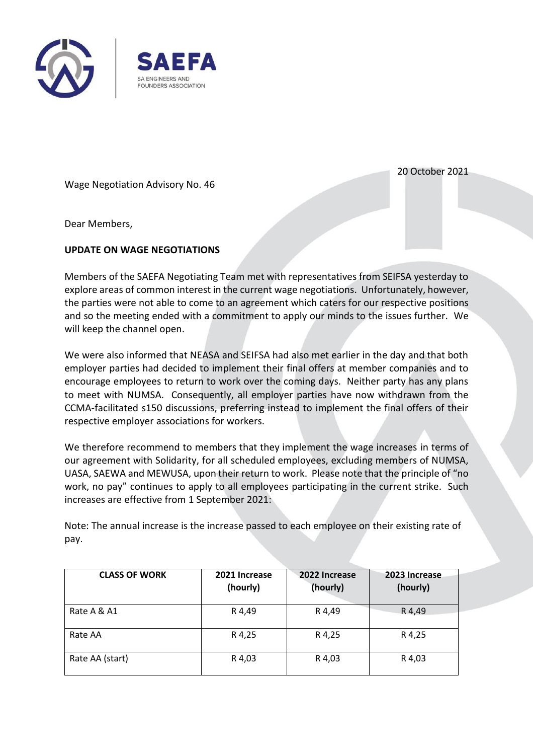



Wage Negotiation Advisory No. 46

20 October 2021

Dear Members,

## **UPDATE ON WAGE NEGOTIATIONS**

Members of the SAEFA Negotiating Team met with representatives from SEIFSA yesterday to explore areas of common interest in the current wage negotiations. Unfortunately, however, the parties were not able to come to an agreement which caters for our respective positions and so the meeting ended with a commitment to apply our minds to the issues further. We will keep the channel open.

We were also informed that NEASA and SEIFSA had also met earlier in the day and that both employer parties had decided to implement their final offers at member companies and to encourage employees to return to work over the coming days. Neither party has any plans to meet with NUMSA. Consequently, all employer parties have now withdrawn from the CCMA-facilitated s150 discussions, preferring instead to implement the final offers of their respective employer associations for workers.

We therefore recommend to members that they implement the wage increases in terms of our agreement with Solidarity, for all scheduled employees, excluding members of NUMSA, UASA, SAEWA and MEWUSA, upon their return to work. Please note that the principle of "no work, no pay" continues to apply to all employees participating in the current strike. Such increases are effective from 1 September 2021:

Note: The annual increase is the increase passed to each employee on their existing rate of pay.

| <b>CLASS OF WORK</b> | 2021 Increase<br>(hourly) | 2022 Increase<br>(hourly) | 2023 Increase<br>(hourly) |
|----------------------|---------------------------|---------------------------|---------------------------|
| Rate A & A1          | R 4,49                    | R4,49                     | R 4,49                    |
| Rate AA              | R 4,25                    | R 4,25                    | R 4,25                    |
| Rate AA (start)      | R 4,03                    | R 4,03                    | R 4,03                    |